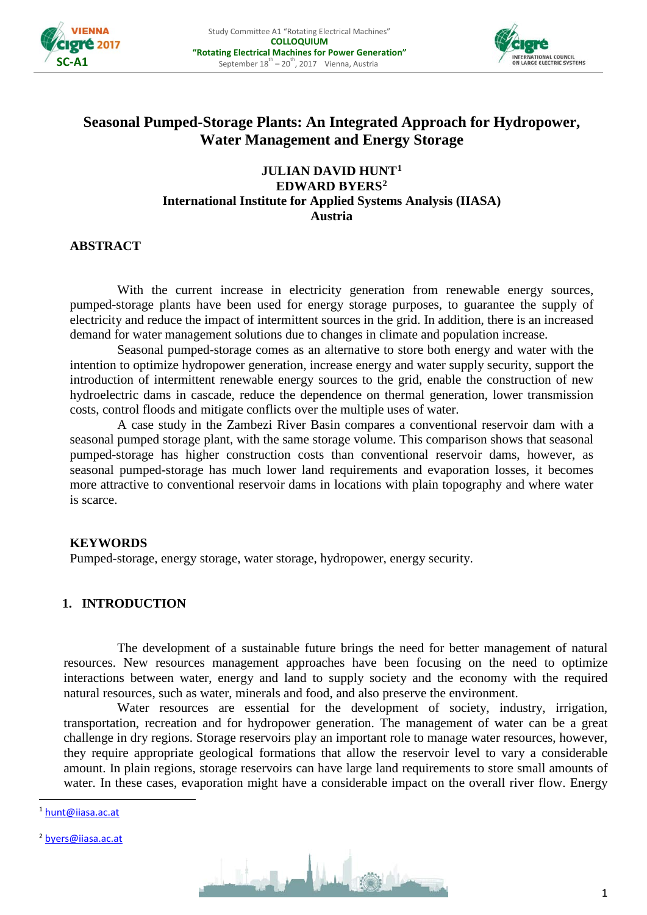



# **Seasonal Pumped-Storage Plants: An Integrated Approach for Hydropower, Water Management and Energy Storage**

### **JULIAN DAVID HUNT[1](#page-0-0) EDWARD BYERS[2](#page-0-1) International Institute for Applied Systems Analysis (IIASA) Austria**

### **ABSTRACT**

With the current increase in electricity generation from renewable energy sources, pumped-storage plants have been used for energy storage purposes, to guarantee the supply of electricity and reduce the impact of intermittent sources in the grid. In addition, there is an increased demand for water management solutions due to changes in climate and population increase.

Seasonal pumped-storage comes as an alternative to store both energy and water with the intention to optimize hydropower generation, increase energy and water supply security, support the introduction of intermittent renewable energy sources to the grid, enable the construction of new hydroelectric dams in cascade, reduce the dependence on thermal generation, lower transmission costs, control floods and mitigate conflicts over the multiple uses of water.

A case study in the Zambezi River Basin compares a conventional reservoir dam with a seasonal pumped storage plant, with the same storage volume. This comparison shows that seasonal pumped-storage has higher construction costs than conventional reservoir dams, however, as seasonal pumped-storage has much lower land requirements and evaporation losses, it becomes more attractive to conventional reservoir dams in locations with plain topography and where water is scarce.

### **KEYWORDS**

Pumped-storage, energy storage, water storage, hydropower, energy security.

#### **1. INTRODUCTION**

The development of a sustainable future brings the need for better management of natural resources. New resources management approaches have been focusing on the need to optimize interactions between water, energy and land to supply society and the economy with the required natural resources, such as water, minerals and food, and also preserve the environment.

Water resources are essential for the development of society, industry, irrigation, transportation, recreation and for hydropower generation. The management of water can be a great challenge in dry regions. Storage reservoirs play an important role to manage water resources, however, they require appropriate geological formations that allow the reservoir level to vary a considerable amount. In plain regions, storage reservoirs can have large land requirements to store small amounts of water. In these cases, evaporation might have a considerable impact on the overall river flow. Energy

<span id="page-0-1"></span><sup>2</sup> [byers@iiasa.ac.at](mailto:byers@iiasa.ac.at)



<span id="page-0-0"></span> <sup>1</sup> [hunt@iiasa.ac.at](mailto:hunt@iiasa.ac.at)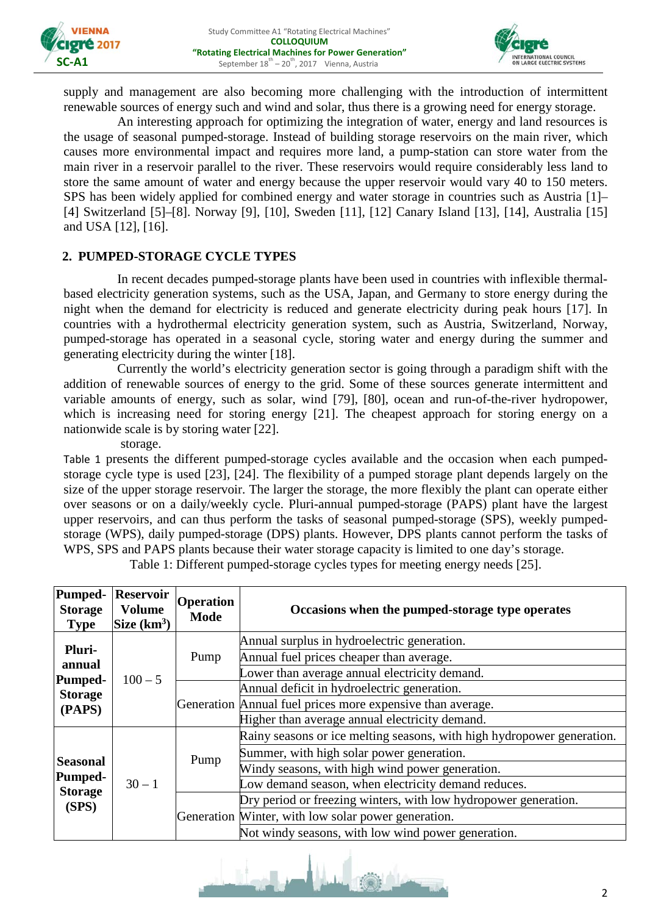



supply and management are also becoming more challenging with the introduction of intermittent renewable sources of energy such and wind and solar, thus there is a growing need for energy storage.

An interesting approach for optimizing the integration of water, energy and land resources is the usage of seasonal pumped-storage. Instead of building storage reservoirs on the main river, which causes more environmental impact and requires more land, a pump-station can store water from the main river in a reservoir parallel to the river. These reservoirs would require considerably less land to store the same amount of water and energy because the upper reservoir would vary 40 to 150 meters. SPS has been widely applied for combined energy and water storage in countries such as Austria [1]– [4] Switzerland [5]–[8]. Norway [9], [10], Sweden [11], [12] Canary Island [13], [14], Australia [15] and USA [12], [16].

### **2. PUMPED-STORAGE CYCLE TYPES**

In recent decades pumped-storage plants have been used in countries with inflexible thermalbased electricity generation systems, such as the USA, Japan, and Germany to store energy during the night when the demand for electricity is reduced and generate electricity during peak hours [17]. In countries with a hydrothermal electricity generation system, such as Austria, Switzerland, Norway, pumped-storage has operated in a seasonal cycle, storing water and energy during the summer and generating electricity during the winter [18].

Currently the world's electricity generation sector is going through a paradigm shift with the addition of renewable sources of energy to the grid. Some of these sources generate intermittent and variable amounts of energy, such as solar, wind [79], [80], ocean and run-of-the-river hydropower, which is increasing need for storing energy [21]. The cheapest approach for storing energy on a nationwide scale is by storing water [22].

[storage.](#page-1-0) 

[Table 1](#page-1-0) presents the different pumped-storage cycles available and the occasion when each pumpedstorage cycle type is used [23], [24]. The flexibility of a pumped storage plant depends largely on the size of the upper storage reservoir. The larger the storage, the more flexibly the plant can operate either over seasons or on a daily/weekly cycle. Pluri-annual pumped-storage (PAPS) plant have the largest upper reservoirs, and can thus perform the tasks of seasonal pumped-storage (SPS), weekly pumpedstorage (WPS), daily pumped-storage (DPS) plants. However, DPS plants cannot perform the tasks of WPS, SPS and PAPS plants because their water storage capacity is limited to one day's storage.

| Pumped-<br><b>Storage</b><br><b>Type</b>                     | <b>Reservoir</b><br><b>Volume</b><br>Size $(km^3)$ | <b>Operation</b><br><b>Mode</b> | Occasions when the pumped-storage type operates                        |  |
|--------------------------------------------------------------|----------------------------------------------------|---------------------------------|------------------------------------------------------------------------|--|
| Pluri-                                                       |                                                    | Pump                            | Annual surplus in hydroelectric generation.                            |  |
| annual                                                       |                                                    |                                 | Annual fuel prices cheaper than average.                               |  |
|                                                              | $100 - 5$                                          |                                 | Lower than average annual electricity demand.                          |  |
| <b>Pumped-</b><br><b>Storage</b>                             |                                                    |                                 | Annual deficit in hydroelectric generation.                            |  |
| (PAPS)                                                       |                                                    |                                 | Generation Annual fuel prices more expensive than average.             |  |
|                                                              |                                                    |                                 | Higher than average annual electricity demand.                         |  |
|                                                              | $30 - 1$                                           | Pump                            | Rainy seasons or ice melting seasons, with high hydropower generation. |  |
|                                                              |                                                    |                                 | Summer, with high solar power generation.                              |  |
| <b>Seasonal</b><br><b>Pumped-</b><br><b>Storage</b><br>(SPS) |                                                    |                                 | Windy seasons, with high wind power generation.                        |  |
|                                                              |                                                    |                                 | Low demand season, when electricity demand reduces.                    |  |
|                                                              |                                                    |                                 | Dry period or freezing winters, with low hydropower generation.        |  |
|                                                              |                                                    |                                 | Generation Winter, with low solar power generation.                    |  |
|                                                              |                                                    |                                 | Not windy seasons, with low wind power generation.                     |  |

<span id="page-1-0"></span>Table 1: Different pumped-storage cycles types for meeting energy needs [25].

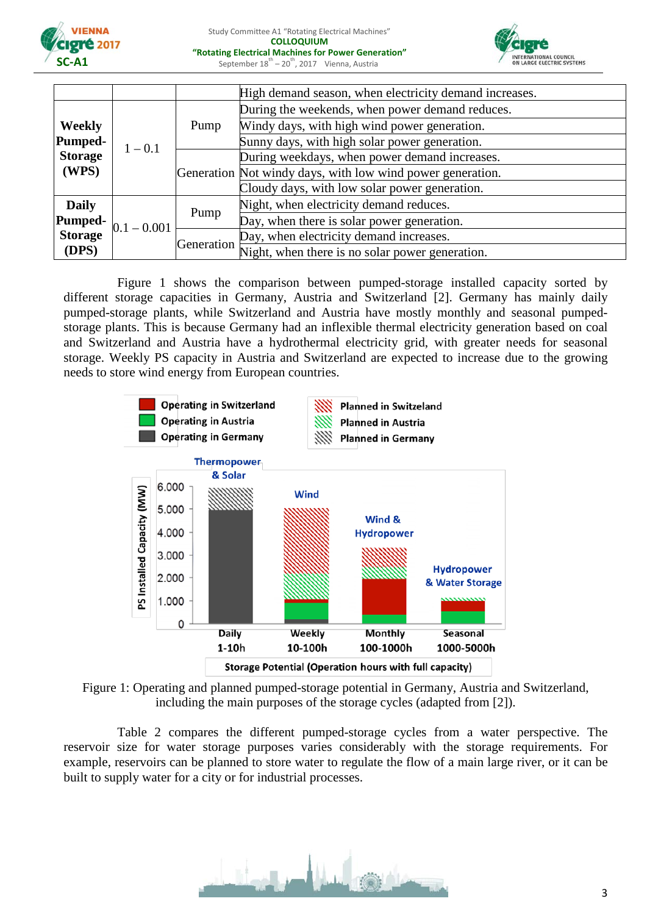



|                         |               |            | High demand season, when electricity demand increases.     |  |
|-------------------------|---------------|------------|------------------------------------------------------------|--|
|                         | $1 - 0.1$     | Pump       | During the weekends, when power demand reduces.            |  |
| <b>Weekly</b>           |               |            | Windy days, with high wind power generation.               |  |
| Pumped-                 |               |            | Sunny days, with high solar power generation.              |  |
| <b>Storage</b><br>(WPS) |               |            | During weekdays, when power demand increases.              |  |
|                         |               |            | Generation Not windy days, with low wind power generation. |  |
|                         |               |            | Cloudy days, with low solar power generation.              |  |
| <b>Daily</b>            |               | Pump       | Night, when electricity demand reduces.                    |  |
| <b>Pumped-</b>          | $0.1 - 0.001$ |            | Day, when there is solar power generation.                 |  |
| Storage                 |               | Generation | Day, when electricity demand increases.                    |  |
| (DPS)                   |               |            | Night, when there is no solar power generation.            |  |

[Figure 1](#page-2-0) shows the comparison between pumped-storage installed capacity sorted by different storage capacities in Germany, Austria and Switzerland [2]. Germany has mainly daily pumped-storage plants, while Switzerland and Austria have mostly monthly and seasonal pumpedstorage plants. This is because Germany had an inflexible thermal electricity generation based on coal and Switzerland and Austria have a hydrothermal electricity grid, with greater needs for seasonal storage. Weekly PS capacity in Austria and Switzerland are expected to increase due to the growing needs to store wind energy from European countries.



<span id="page-2-0"></span>

[Table 2](#page-3-0) compares the different pumped-storage cycles from a water perspective. The reservoir size for water storage purposes varies considerably with the storage requirements. For example, reservoirs can be planned to store water to regulate the flow of a main large river, or it can be built to supply water for a city or for industrial processes.

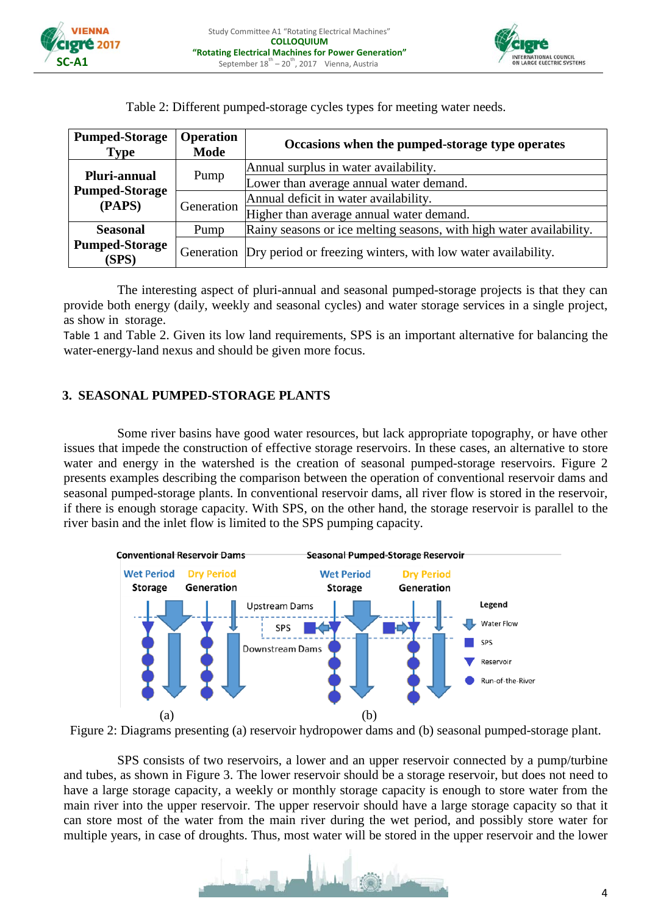



<span id="page-3-0"></span>

| <b>Pumped-Storage</b><br><b>Type</b> | <b>Operation</b><br><b>Mode</b> | Occasions when the pumped-storage type operates                         |  |  |
|--------------------------------------|---------------------------------|-------------------------------------------------------------------------|--|--|
| Pluri-annual                         | Pump                            | Annual surplus in water availability.                                   |  |  |
| <b>Pumped-Storage</b>                |                                 | Lower than average annual water demand.                                 |  |  |
| (PAPS)                               | Generation                      | Annual deficit in water availability.                                   |  |  |
|                                      |                                 | Higher than average annual water demand.                                |  |  |
| <b>Seasonal</b>                      | Pump                            | Rainy seasons or ice melting seasons, with high water availability.     |  |  |
| <b>Pumped-Storage</b><br>(SPS)       |                                 | Generation Dry period or freezing winters, with low water availability. |  |  |

Table 2: Different pumped-storage cycles types for meeting water needs.

The interesting aspect of pluri-annual and seasonal pumped-storage projects is that they can provide both energy (daily, weekly and seasonal cycles) and water storage services in a single project, as show in [storage.](#page-1-0) 

[Table 1](#page-1-0) and [Table 2.](#page-3-0) Given its low land requirements, SPS is an important alternative for balancing the water-energy-land nexus and should be given more focus.

#### **3. SEASONAL PUMPED-STORAGE PLANTS**

Some river basins have good water resources, but lack appropriate topography, or have other issues that impede the construction of effective storage reservoirs. In these cases, an alternative to store water and energy in the watershed is the creation of seasonal pumped-storage reservoirs. [Figure 2](#page-3-1) presents examples describing the comparison between the operation of conventional reservoir dams and seasonal pumped-storage plants. In conventional reservoir dams, all river flow is stored in the reservoir, if there is enough storage capacity. With SPS, on the other hand, the storage reservoir is parallel to the river basin and the inlet flow is limited to the SPS pumping capacity.



<span id="page-3-1"></span>Figure 2: Diagrams presenting (a) reservoir hydropower dams and (b) seasonal pumped-storage plant.

SPS consists of two reservoirs, a lower and an upper reservoir connected by a pump/turbine and tubes, as shown in [Figure 3.](#page-4-0) The lower reservoir should be a storage reservoir, but does not need to have a large storage capacity, a weekly or monthly storage capacity is enough to store water from the main river into the upper reservoir. The upper reservoir should have a large storage capacity so that it can store most of the water from the main river during the wet period, and possibly store water for multiple years, in case of droughts. Thus, most water will be stored in the upper reservoir and the lower

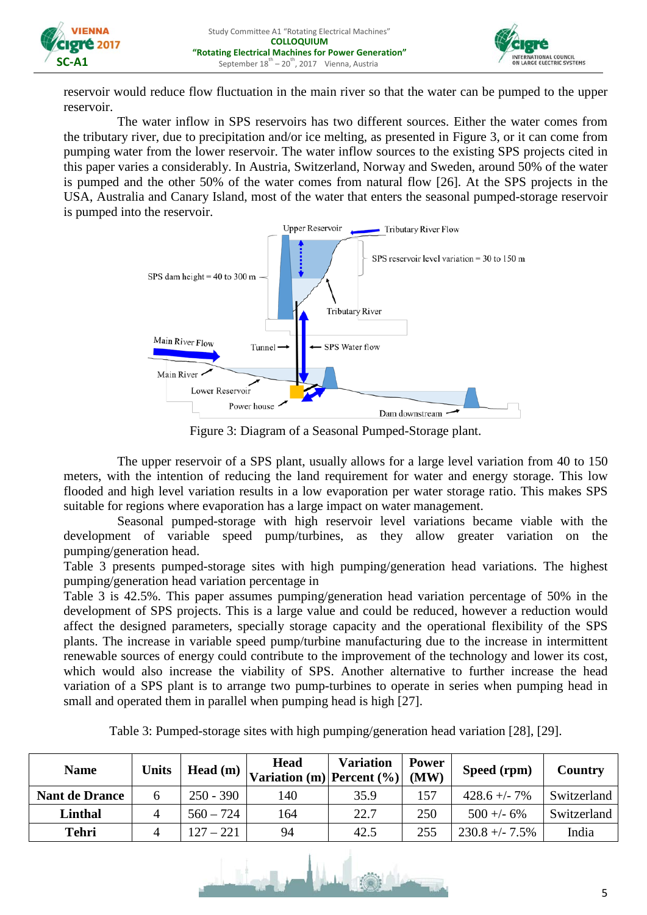



reservoir would reduce flow fluctuation in the main river so that the water can be pumped to the upper reservoir.

The water inflow in SPS reservoirs has two different sources. Either the water comes from the tributary river, due to precipitation and/or ice melting, as presented in [Figure 3,](#page-4-0) or it can come from pumping water from the lower reservoir. The water inflow sources to the existing SPS projects cited in this paper varies a considerably. In Austria, Switzerland, Norway and Sweden, around 50% of the water is pumped and the other 50% of the water comes from natural flow [26]. At the SPS projects in the USA, Australia and Canary Island, most of the water that enters the seasonal pumped-storage reservoir is pumped into the reservoir.



Figure 3: Diagram of a Seasonal Pumped-Storage plant.

<span id="page-4-0"></span>The upper reservoir of a SPS plant, usually allows for a large level variation from 40 to 150 meters, with the intention of reducing the land requirement for water and energy storage. This low flooded and high level variation results in a low evaporation per water storage ratio. This makes SPS suitable for regions where evaporation has a large impact on water management.

Seasonal pumped-storage with high reservoir level variations became viable with the development of variab[le speed pump/turbines, as they allow greater variation on the](#page-4-1)  pumping/generation head.

[Table](#page-4-1) 3 presents pumped-storage sites with high pumping/generation head variations. The highest pumping/generation head variation percentage in

[Table](#page-4-1) 3 is 42.5%. This paper assumes pumping/generation head variation percentage of 50% in the development of SPS projects. This is a large value and could be reduced, however a reduction would affect the designed parameters, specially storage capacity and the operational flexibility of the SPS plants. The increase in variable speed pump/turbine manufacturing due to the increase in intermittent renewable sources of energy could contribute to the improvement of the technology and lower its cost, which would also increase the viability of SPS. Another alternative to further increase the head variation of a SPS plant is to arrange two pump-turbines to operate in series when pumping head in small and operated them in parallel when pumping head is high [27].

<span id="page-4-1"></span>

| <b>Name</b>           | <b>Units</b> | Head $(m)$  | <b>Head</b><br>$\vert$ Variation (m) Percent (%) | <b>Variation</b> | <b>Power</b><br>(MW) | Speed (rpm)      | Country     |
|-----------------------|--------------|-------------|--------------------------------------------------|------------------|----------------------|------------------|-------------|
| <b>Nant de Drance</b> | 6            | $250 - 390$ | 140                                              | 35.9             | 157                  | $428.6 + - 7\%$  | Switzerland |
| Linthal               | 4            | $560 - 724$ | 164                                              | 22.7             | 250                  | $500 + -6\%$     | Switzerland |
| <b>Tehri</b>          |              | $127 - 221$ | 94                                               | 42.5             | 255                  | $230.8 + -7.5\%$ | India       |

Table 3: Pumped-storage sites with high pumping/generation head variation [28], [29].

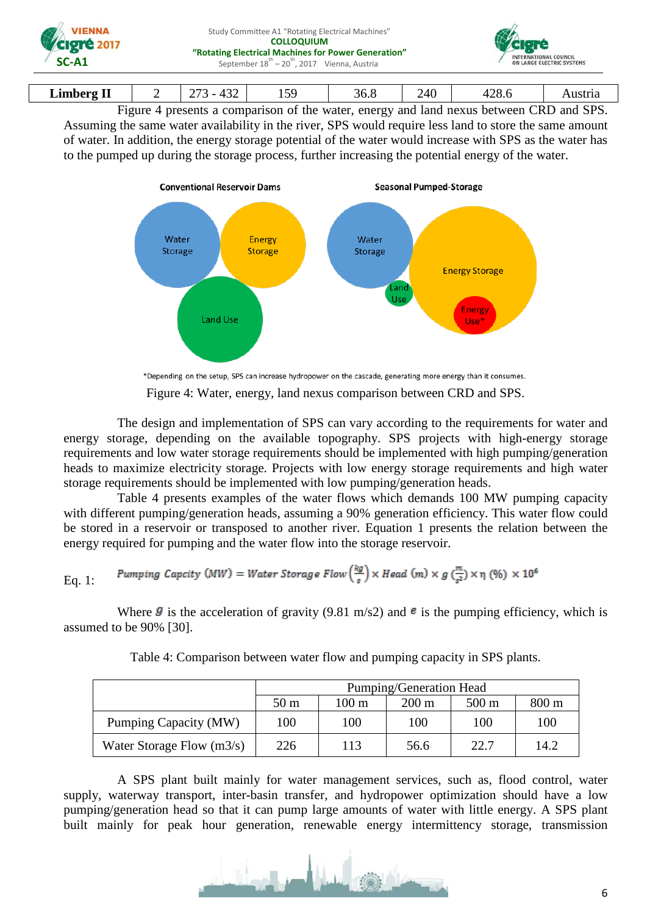| VIENNA<br>Veigré 2017<br>$SC-A1$ | Study Committee A1 "Rotating Electrical Machines"<br><b>COLLOQUIUM</b><br>"Rotating Electrical Machines for Power Generation"<br>September $18^{th} - 20^{th}$ , 2017 Vienna, Austria | INTERNATIONAL COUNCIL<br>ON LARGE ELECTRIC SYSTEMS |
|----------------------------------|---------------------------------------------------------------------------------------------------------------------------------------------------------------------------------------|----------------------------------------------------|
|                                  |                                                                                                                                                                                       |                                                    |

| --<br>.imberø<br>------ | <br>$\sim$<br>$\sim$ $\sim$ $\sim$<br>∽<br><u>ے ب</u> | $\sim$ $\sim$<br>ำ<br>1 J J | $\overline{\phantom{a}}$<br>36.8 | $\sim$<br>40<br>᠇<br>- | ററ<br>. .<br>т∠∪.∖ | $330 + 44$<br>Ausula |
|-------------------------|-------------------------------------------------------|-----------------------------|----------------------------------|------------------------|--------------------|----------------------|
|                         |                                                       |                             |                                  |                        |                    |                      |

[Figure 4](#page-5-0) presents a comparison of the water, energy and land nexus between CRD and SPS. Assuming the same water availability in the river, SPS would require less land to store the same amount of water. In addition, the energy storage potential of the water would increase with SPS as the water has to the pumped up during the storage process, further increasing the potential energy of the water.



\*Depending on the setup, SPS can increase hydropower on the cascade, generating more energy than it consumes.

Figure 4: Water, energy, land nexus comparison between CRD and SPS.

<span id="page-5-0"></span>The design and implementation of SPS can vary according to the requirements for water and energy storage, depending on the available topography. SPS projects with high-energy storage requirements and low water storage requirements should be implemented with high pumping/generation heads to maximize electricity storage. Projects with low energy storage requirements and high water storage requirements should be implemented with low pumping/generation heads.

[Table 4](#page-5-1) presents examples of the water flows which demands 100 MW pumping capacity with different pumping/generation heads, assuming a 90% generation efficiency. This water flow could be stored in a reservoir or transposed to another river. Equation 1 presents the relation between the energy required for pumping and the water flow into the storage reservoir.

Eq. 1: *Pumping Capcity (MW)* = Water Storage Flow 
$$
\left(\frac{kg}{s}\right)
$$
 × Head (m) × g  $\left(\frac{m}{s^2}\right)$  ×  $\eta$  (%) × 10<sup>6</sup>

<span id="page-5-1"></span>Where  $\mathcal{G}$  is the acceleration of gravity (9.81 m/s2) and  $\mathcal{E}$  is the pumping efficiency, which is assumed to be 90% [30].

|                             | Pumping/Generation Head |                 |                 |                 |       |
|-----------------------------|-------------------------|-----------------|-----------------|-----------------|-------|
|                             | 50 <sub>m</sub>         | $100 \text{ m}$ | $200 \text{ m}$ | $500 \text{ m}$ | 800 m |
| Pumping Capacity (MW)       | 100                     | 100             | 100             | 100             | 100   |
| Water Storage Flow $(m3/s)$ | 226                     | 113             | 56.6            | 22.7            | 14.2  |

Table 4: Comparison between water flow and pumping capacity in SPS plants.

A SPS plant built mainly for water management services, such as, flood control, water supply, waterway transport, inter-basin transfer, and hydropower optimization should have a low pumping/generation head so that it can pump large amounts of water with little energy. A SPS plant built mainly for peak hour generation, renewable energy intermittency storage, transmission

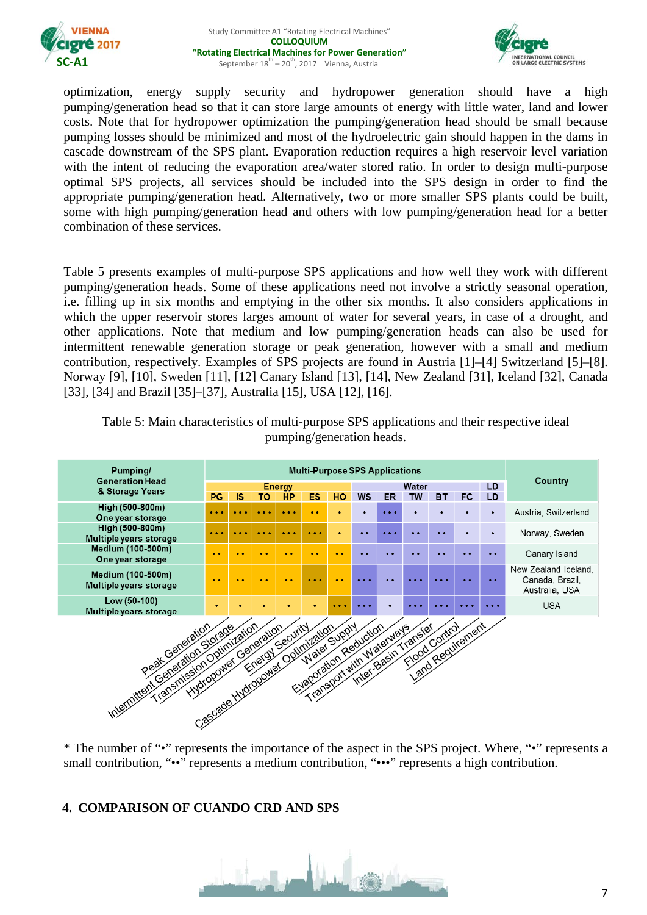



optimization, energy supply security and hydropower generation should have a high pumping/generation head so that it can store large amounts of energy with little water, land and lower costs. Note that for hydropower optimization the pumping/generation head should be small because pumping losses should be minimized and most of the hydroelectric gain should happen in the dams in cascade downstream of the SPS plant. Evaporation reduction requires a high reservoir level variation with the intent of reducing the evaporation area/water stored ratio. In order to design multi-purpose optimal SPS projects, all services should be included into the SPS design in order to find the appropriate pumping/generation head. Alternatively, two or more smaller SPS plants could be built, some with high pumping/generation head and others with low pumping/generation head for a better combinat[ion of these services.](#page-6-0) 

[Table](#page-6-0) 5 presents examples of multi-purpose SPS applications and how well they work with different pumping/generation heads. Some of these applications need not involve a strictly seasonal operation, i.e. filling up in six months and emptying in the other six months. It also considers applications in which the upper reservoir stores larges amount of water for several years, in case of a drought, and other applications. Note that medium and low pumping/generation heads can also be used for intermittent renewable generation storage or peak generation, however with a small and medium contribution, respectively. Examples of SPS projects are found in Austria [1]–[4] Switzerland [5]–[8]. Norway [9], [10], Sweden [11], [12] Canary Island [13], [14], New Zealand [31], Iceland [32], Canada [33], [34] and Brazil [35]–[37], Australia [15], USA [12], [16].



<span id="page-6-0"></span>Table 5: Main characteristics of multi-purpose SPS applications and their respective ideal pumping/generation heads.

small contribution, "••" represents a medium contribution, "•••" represents a high contribution.

### **4. COMPARISON OF CUANDO CRD AND SPS**

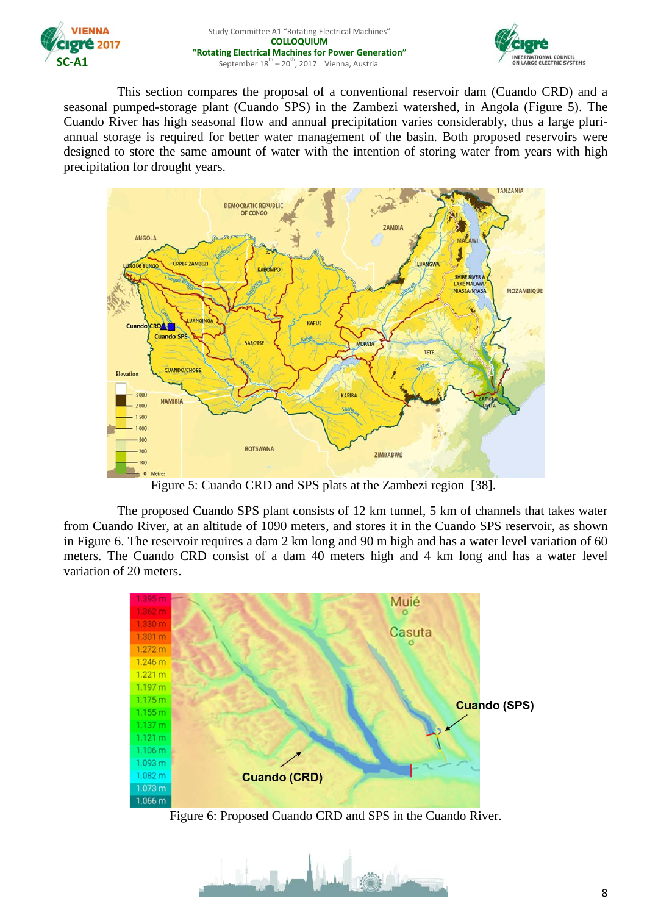



This section compares the proposal of a conventional reservoir dam (Cuando CRD) and a seasonal pumped-storage plant (Cuando SPS) in the Zambezi watershed, in Angola [\(Figure 5\)](#page-7-0). The Cuando River has high seasonal flow and annual precipitation varies considerably, thus a large pluriannual storage is required for better water management of the basin. Both proposed reservoirs were designed to store the same amount of water with the intention of storing water from years with high precipitation for drought years.



Figure 5: Cuando CRD and SPS plats at the Zambezi region [38].

<span id="page-7-0"></span>The proposed Cuando SPS plant consists of 12 km tunnel, 5 km of channels that takes water from Cuando River, at an altitude of 1090 meters, and stores it in the Cuando SPS reservoir, as shown in [Figure 6.](#page-7-1) The reservoir requires a dam 2 km long and 90 m high and has a water level variation of 60 meters. The Cuando CRD consist of a dam 40 meters high and 4 km long and has a water level variation of 20 meters.



Figure 6: Proposed Cuando CRD and SPS in the Cuando River.

<span id="page-7-1"></span>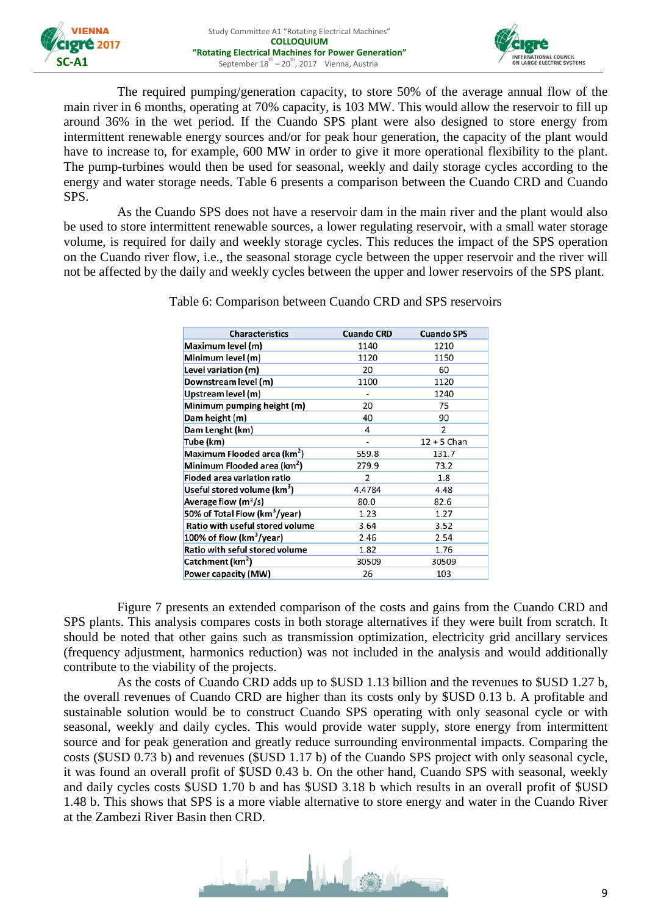



The required pumping/generation capacity, to store 50% of the average annual flow of the main river in 6 months, operating at 70% capacity, is 103 MW. This would allow the reservoir to fill up around 36% in the wet period. If the Cuando SPS plant were also designed to store energy from intermittent renewable energy sources and/or for peak hour generation, the capacity of the plant would have to increase to, for example, 600 MW in order to give it more operational flexibility to the plant. The pump-turbines would then be used for seasonal, weekly and daily storage cycles according to the energy and water storage needs. [Table 6](#page-8-0) presents a comparison between the Cuando CRD and Cuando SPS.

<span id="page-8-0"></span>As the Cuando SPS does not have a reservoir dam in the main river and the plant would also be used to store intermittent renewable sources, a lower regulating reservoir, with a small water storage volume, is required for daily and weekly storage cycles. This reduces the impact of the SPS operation on the Cuando river flow, i.e., the seasonal storage cycle between the upper reservoir and the river will not be affected by the daily and weekly cycles between the upper and lower reservoirs of the SPS plant.

| <b>Characteristics</b>                    | <b>Cuando CRD</b> | <b>Cuando SPS</b> |  |
|-------------------------------------------|-------------------|-------------------|--|
| Maximum level (m)                         | 1140              | 1210              |  |
| Minimum level (m)                         | 1120              | 1150              |  |
| Level variation (m)                       | 20                | 60                |  |
| Downstream level (m)                      | 1100              | 1120              |  |
| Upstream level (m)                        |                   | 1240              |  |
| Minimum pumping height (m)                | 20                | 75                |  |
| Dam height (m)                            | 40                | 90                |  |
| Dam Lenght (km)                           | 4                 | 2                 |  |
| Tube (km)                                 |                   | $12 + 5$ Chan     |  |
| Maximum Flooded area (km <sup>2</sup> )   | 559.8             | 131.7             |  |
| Minimum Flooded area (km <sup>2</sup> )   | 279.9             | 73.2              |  |
| <b>Floded area variation ratio</b>        | $\overline{2}$    | 1.8               |  |
| Useful stored volume (km <sup>3</sup> )   | 4.4784            | 4.48              |  |
| Average flow $(m^3/s)$                    | 80.0              | 82.6              |  |
| 50% of Total Flow (km <sup>3</sup> /year) | 1.23              | 1.27              |  |
| Ratio with useful stored volume           | 3.64              | 3.52              |  |
| 100% of flow ( $km^3$ /year)              | 2.46              | 2.54              |  |
| Ratio with seful stored volume            | 1.82              | 1.76              |  |
| Catchment (km <sup>2</sup> )              | 30509             | 30509             |  |
| Power capacity (MW)                       | 26                | 103               |  |

Table 6: Comparison between Cuando CRD and SPS reservoirs

[Figure 7](#page-9-0) presents an extended comparison of the costs and gains from the Cuando CRD and SPS plants. This analysis compares costs in both storage alternatives if they were built from scratch. It should be noted that other gains such as transmission optimization, electricity grid ancillary services (frequency adjustment, harmonics reduction) was not included in the analysis and would additionally contribute to the viability of the projects.

As the costs of Cuando CRD adds up to \$USD 1.13 billion and the revenues to \$USD 1.27 b, the overall revenues of Cuando CRD are higher than its costs only by \$USD 0.13 b. A profitable and sustainable solution would be to construct Cuando SPS operating with only seasonal cycle or with seasonal, weekly and daily cycles. This would provide water supply, store energy from intermittent source and for peak generation and greatly reduce surrounding environmental impacts. Comparing the costs (\$USD 0.73 b) and revenues (\$USD 1.17 b) of the Cuando SPS project with only seasonal cycle, it was found an overall profit of \$USD 0.43 b. On the other hand, Cuando SPS with seasonal, weekly and daily cycles costs \$USD 1.70 b and has \$USD 3.18 b which results in an overall profit of \$USD 1.48 b. This shows that SPS is a more viable alternative to store energy and water in the Cuando River at the Zambezi River Basin then CRD.

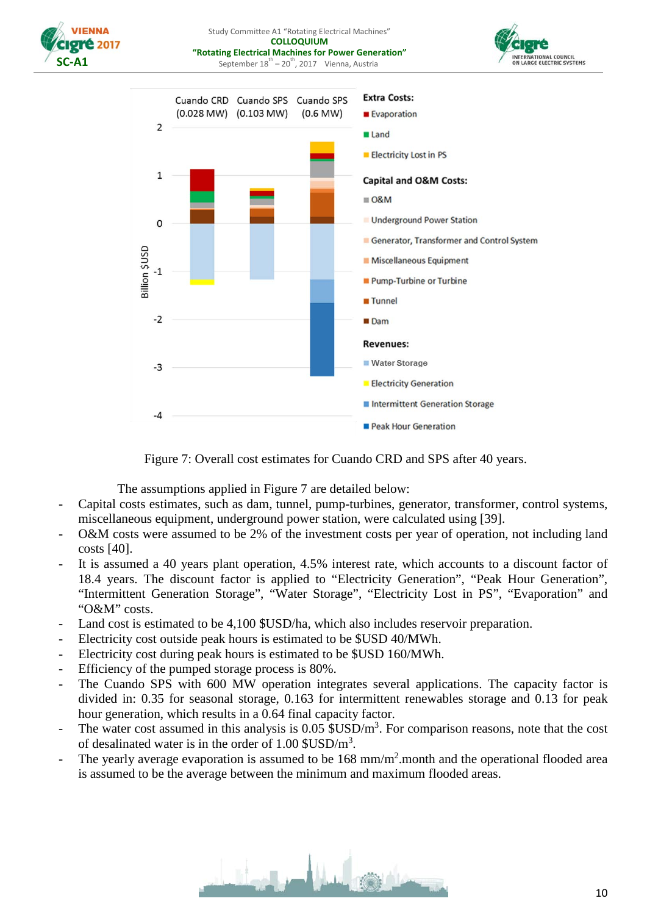

Study Committee A1 "Rotating Electrical Machines" **COLLOQUIUM "Rotating Electrical Machines for Power Generation"** September  $18^{th} - 20^{th}$ , 2017 Vienna, Austria





Figure 7: Overall cost estimates for Cuando CRD and SPS after 40 years.

The assumptions applied in [Figure 7](#page-9-0) are detailed below:

- <span id="page-9-0"></span>- Capital costs estimates, such as dam, tunnel, pump-turbines, generator, transformer, control systems, miscellaneous equipment, underground power station, were calculated using [39].
- O&M costs were assumed to be 2% of the investment costs per year of operation, not including land costs [40].
- It is assumed a 40 years plant operation, 4.5% interest rate, which accounts to a discount factor of 18.4 years. The discount factor is applied to "Electricity Generation", "Peak Hour Generation", "Intermittent Generation Storage", "Water Storage", "Electricity Lost in PS", "Evaporation" and "O&M" costs.
- Land cost is estimated to be 4,100 \$USD/ha, which also includes reservoir preparation.
- Electricity cost outside peak hours is estimated to be \$USD 40/MWh.
- Electricity cost during peak hours is estimated to be \$USD 160/MWh.
- Efficiency of the pumped storage process is 80%.
- The Cuando SPS with 600 MW operation integrates several applications. The capacity factor is divided in: 0.35 for seasonal storage, 0.163 for intermittent renewables storage and 0.13 for peak hour generation, which results in a 0.64 final capacity factor.
- The water cost assumed in this analysis is  $0.05$  \$USD/m<sup>3</sup>. For comparison reasons, note that the cost of desalinated water is in the order of  $1.00 \text{ SUSD/m}^3$ .
- The yearly average evaporation is assumed to be 168 mm/m<sup>2</sup> month and the operational flooded area is assumed to be the average between the minimum and maximum flooded areas.

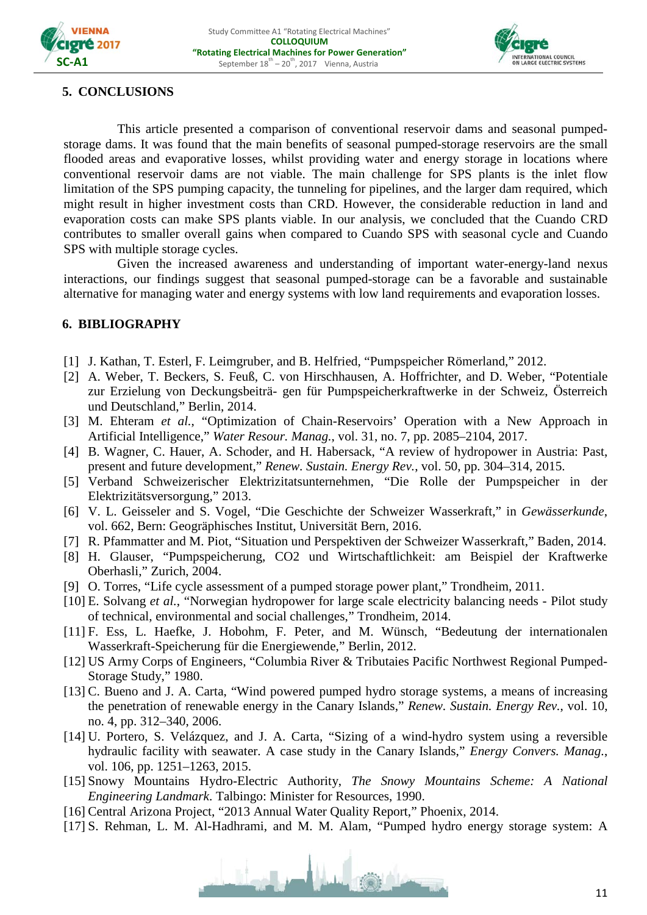



## **5. CONCLUSIONS**

This article presented a comparison of conventional reservoir dams and seasonal pumpedstorage dams. It was found that the main benefits of seasonal pumped-storage reservoirs are the small flooded areas and evaporative losses, whilst providing water and energy storage in locations where conventional reservoir dams are not viable. The main challenge for SPS plants is the inlet flow limitation of the SPS pumping capacity, the tunneling for pipelines, and the larger dam required, which might result in higher investment costs than CRD. However, the considerable reduction in land and evaporation costs can make SPS plants viable. In our analysis, we concluded that the Cuando CRD contributes to smaller overall gains when compared to Cuando SPS with seasonal cycle and Cuando SPS with multiple storage cycles.

Given the increased awareness and understanding of important water-energy-land nexus interactions, our findings suggest that seasonal pumped-storage can be a favorable and sustainable alternative for managing water and energy systems with low land requirements and evaporation losses.

## **6. BIBLIOGRAPHY**

- [1] J. Kathan, T. Esterl, F. Leimgruber, and B. Helfried, "Pumpspeicher Römerland," 2012.
- [2] A. Weber, T. Beckers, S. Feuß, C. von Hirschhausen, A. Hoffrichter, and D. Weber, "Potentiale zur Erzielung von Deckungsbeiträ- gen für Pumpspeicherkraftwerke in der Schweiz, Österreich und Deutschland," Berlin, 2014.
- [3] M. Ehteram *et al.*, "Optimization of Chain-Reservoirs' Operation with a New Approach in Artificial Intelligence," *Water Resour. Manag.*, vol. 31, no. 7, pp. 2085–2104, 2017.
- [4] B. Wagner, C. Hauer, A. Schoder, and H. Habersack, "A review of hydropower in Austria: Past, present and future development," *Renew. Sustain. Energy Rev.*, vol. 50, pp. 304–314, 2015.
- [5] Verband Schweizerischer Elektrizitatsunternehmen, "Die Rolle der Pumpspeicher in der Elektrizitätsversorgung," 2013.
- [6] V. L. Geisseler and S. Vogel, "Die Geschichte der Schweizer Wasserkraft," in *Gewässerkunde*, vol. 662, Bern: Geogräphisches Institut, Universität Bern, 2016.
- [7] R. Pfammatter and M. Piot, "Situation und Perspektiven der Schweizer Wasserkraft," Baden, 2014.
- [8] H. Glauser, "Pumpspeicherung, CO2 und Wirtschaftlichkeit: am Beispiel der Kraftwerke Oberhasli," Zurich, 2004.
- [9] O. Torres, "Life cycle assessment of a pumped storage power plant," Trondheim, 2011.
- [10] E. Solvang *et al.*, "Norwegian hydropower for large scale electricity balancing needs Pilot study of technical, environmental and social challenges," Trondheim, 2014.
- [11] F. Ess, L. Haefke, J. Hobohm, F. Peter, and M. Wünsch, "Bedeutung der internationalen Wasserkraft-Speicherung für die Energiewende," Berlin, 2012.
- [12] US Army Corps of Engineers, "Columbia River & Tributaies Pacific Northwest Regional Pumped-Storage Study," 1980.
- [13] C. Bueno and J. A. Carta, "Wind powered pumped hydro storage systems, a means of increasing the penetration of renewable energy in the Canary Islands," *Renew. Sustain. Energy Rev.*, vol. 10, no. 4, pp. 312–340, 2006.
- [14] U. Portero, S. Velázquez, and J. A. Carta, "Sizing of a wind-hydro system using a reversible hydraulic facility with seawater. A case study in the Canary Islands," *Energy Convers. Manag.*, vol. 106, pp. 1251–1263, 2015.
- [15] Snowy Mountains Hydro-Electric Authority, *The Snowy Mountains Scheme: A National Engineering Landmark*. Talbingo: Minister for Resources, 1990.
- [16] Central Arizona Project, "2013 Annual Water Quality Report," Phoenix, 2014.
- [17] S. Rehman, L. M. Al-Hadhrami, and M. M. Alam, "Pumped hydro energy storage system: A